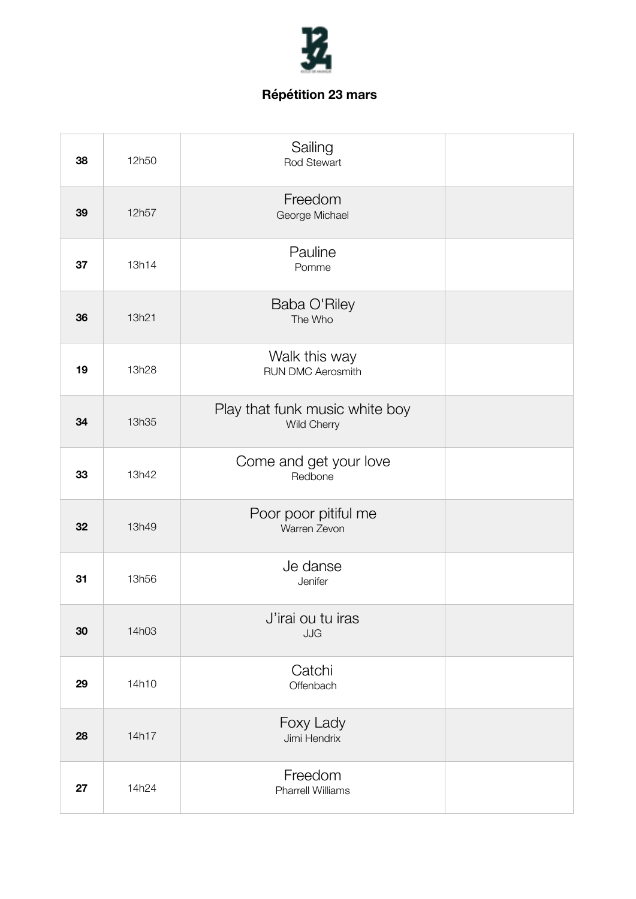

| 38 | 12h50 | Sailing<br>Rod Stewart                        |  |
|----|-------|-----------------------------------------------|--|
| 39 | 12h57 | Freedom<br>George Michael                     |  |
| 37 | 13h14 | Pauline<br>Pomme                              |  |
| 36 | 13h21 | Baba O'Riley<br>The Who                       |  |
| 19 | 13h28 | Walk this way<br><b>RUN DMC Aerosmith</b>     |  |
| 34 | 13h35 | Play that funk music white boy<br>Wild Cherry |  |
| 33 | 13h42 | Come and get your love<br>Redbone             |  |
| 32 | 13h49 | Poor poor pitiful me<br>Warren Zevon          |  |
| 31 | 13h56 | Je danse<br>Jenifer                           |  |
| 30 | 14h03 | J'irai ou tu iras<br>JJG                      |  |
| 29 | 14h10 | Catchi<br>Offenbach                           |  |
| 28 | 14h17 | Foxy Lady<br>Jimi Hendrix                     |  |
| 27 | 14h24 | Freedom<br><b>Pharrell Williams</b>           |  |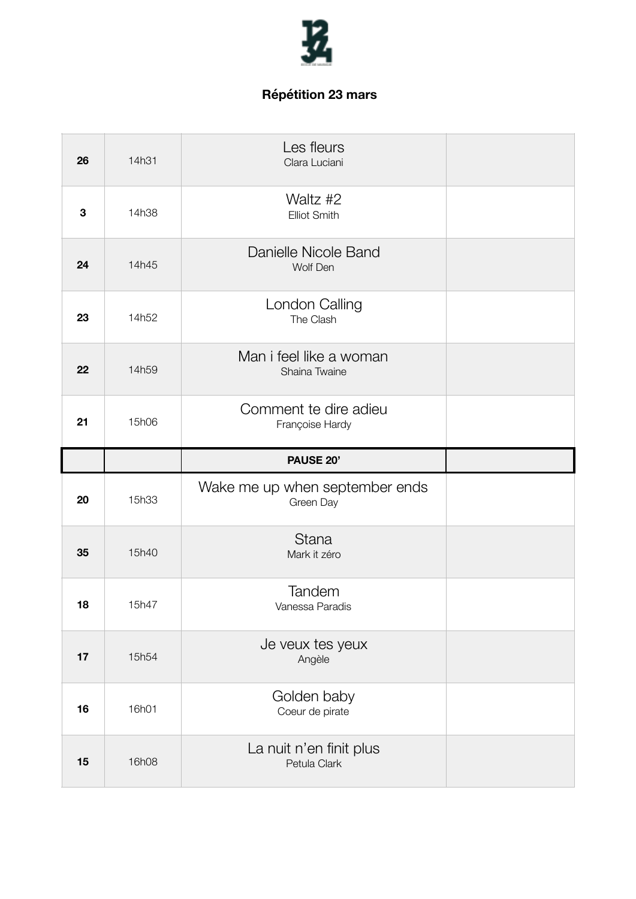

| 26 | 14h31 | Les fleurs<br>Clara Luciani                 |  |
|----|-------|---------------------------------------------|--|
| 3  | 14h38 | Waltz #2<br><b>Elliot Smith</b>             |  |
| 24 | 14h45 | Danielle Nicole Band<br>Wolf Den            |  |
| 23 | 14h52 | London Calling<br>The Clash                 |  |
| 22 | 14h59 | Man i feel like a woman<br>Shaina Twaine    |  |
| 21 | 15h06 | Comment te dire adieu<br>Françoise Hardy    |  |
|    |       |                                             |  |
|    |       | <b>PAUSE 20'</b>                            |  |
| 20 | 15h33 | Wake me up when september ends<br>Green Day |  |
| 35 | 15h40 | <b>Stana</b><br>Mark it zéro                |  |
| 18 | 15h47 | Tandem<br>Vanessa Paradis                   |  |
| 17 | 15h54 | Je veux tes yeux<br>Angèle                  |  |
| 16 | 16h01 | Golden baby<br>Coeur de pirate              |  |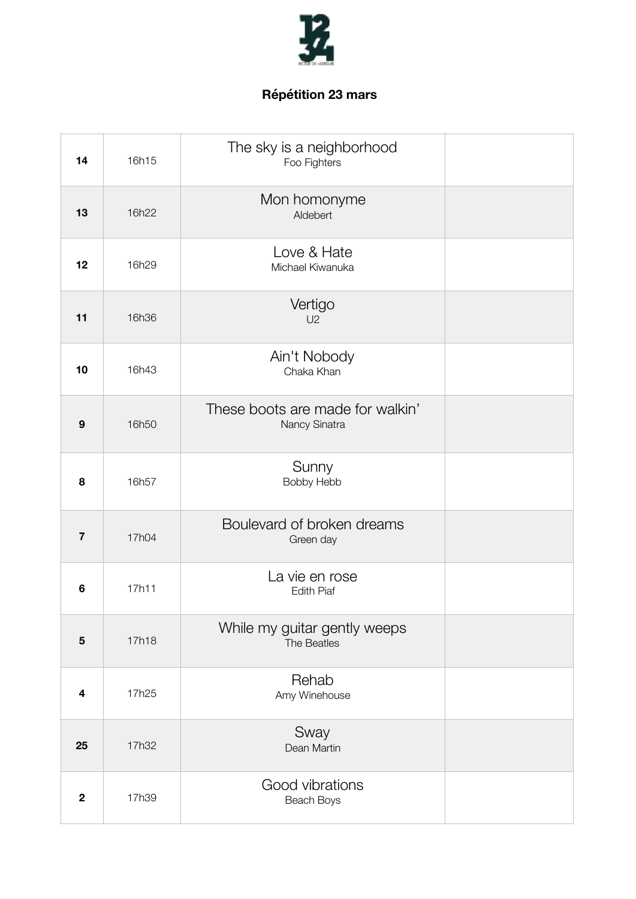

| 14                      | 16h15 | The sky is a neighborhood<br>Foo Fighters         |  |
|-------------------------|-------|---------------------------------------------------|--|
| 13                      | 16h22 | Mon homonyme<br>Aldebert                          |  |
| 12                      | 16h29 | Love & Hate<br>Michael Kiwanuka                   |  |
| 11                      | 16h36 | Vertigo<br>U2                                     |  |
| 10                      | 16h43 | Ain't Nobody<br>Chaka Khan                        |  |
| 9                       | 16h50 | These boots are made for walkin'<br>Nancy Sinatra |  |
| 8                       | 16h57 | Sunny<br>Bobby Hebb                               |  |
| $\overline{7}$          | 17h04 | Boulevard of broken dreams<br>Green day           |  |
| 6                       | 17h11 | La vie en rose<br><b>Edith Piaf</b>               |  |
| $5\phantom{1}$          | 17h18 | While my guitar gently weeps<br>The Beatles       |  |
| $\overline{\mathbf{4}}$ | 17h25 | Rehab<br>Amy Winehouse                            |  |
| 25                      | 17h32 | Sway<br>Dean Martin                               |  |
| $\overline{2}$          | 17h39 | Good vibrations<br>Beach Boys                     |  |